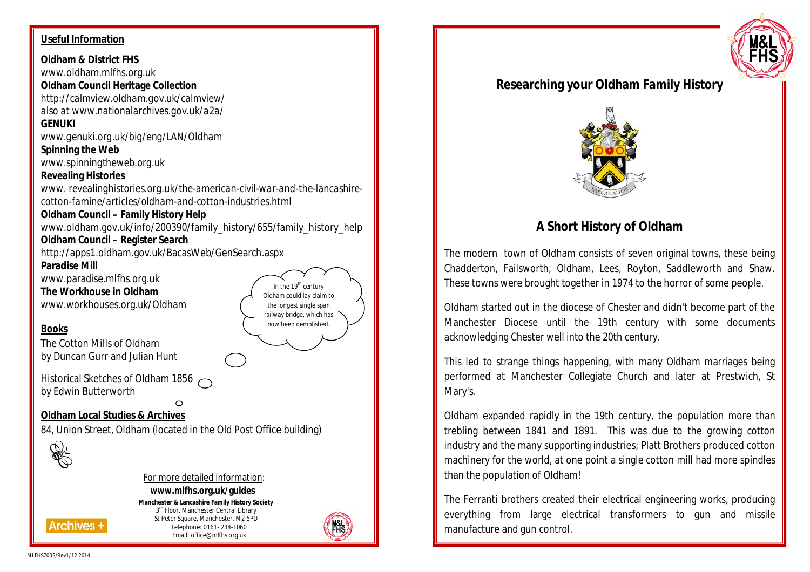#### **Useful Information**

**Oldham & District FHS** www.oldham.mlfhs.org.uk **Oldham Council Heritage Collection** *http://calmview.oldham.gov.uk/calmview/ also at www.nationalarchives.gov.uk/a2a/* **GENUKI** *www.genuki.org.uk/big/eng/LAN/Oldham* **Spinning the Web** *www.spinningtheweb.org.uk* **Revealing Histories** *www. revealinghistories.org.uk/the-american-civil-war-and-the-lancashirecotton-famine/articles/oldham-and-cotton-industries.html* **Oldham Council – Family History Help** www.oldham.gov.uk/info/200390/family\_history/655/family\_history\_help **Oldham Council – Register Search** http://apps1.oldham.gov.uk/BacasWeb/GenSearch.aspx **Paradise Mill** www.paradise.mlfhs.org.uk In the  $19<sup>th</sup>$  century **The Workhouse in Oldham** Oldham could lay claim to www.workhouses.org.uk/Oldham the longest single span railway bridge, which has now been demolished. **Books** The Cotton Mills of Oldham by Duncan Gurr and Julian Hunt Historical Sketches of Oldham 1856 by Edwin Butterworth  $\bigcirc$ **Oldham Local Studies & Archives** 84, Union Street, Oldham (located in the Old Post Office building)



#### For more detailed information:

# **www.mlfhs.org.uk/guides**

**Manchester & Lancashire Family History Society** 3<sup>rd</sup> Floor, Manchester Central Library St Peter Square, Manchester, M2 5PD Telephone: 0161- 234-1060 Email: office@mlfhs.org.uk



# **Researching your Oldham Family History**



# **A Short History of Oldham**

The modern town of Oldham consists of seven original towns, these being Chadderton, Failsworth, Oldham, Lees, Royton, Saddleworth and Shaw. These towns were brought together in 1974 to the horror of some people.

Oldham started out in the diocese of Chester and didn't become part of the Manchester Diocese until the 19th century with some documents acknowledging Chester well into the 20th century.

This led to strange things happening, with many Oldham marriages being performed at Manchester Collegiate Church and later at Prestwich, St Mary's.

Oldham expanded rapidly in the 19th century, the population more than trebling between 1841 and 1891. This was due to the growing cotton industry and the many supporting industries; Platt Brothers produced cotton machinery for the world, at one point a single cotton mill had more spindles than the population of Oldham!

The Ferranti brothers created their electrical engineering works, producing everything from large electrical transformers to gun and missile manufacture and gun control.

**Archives \***